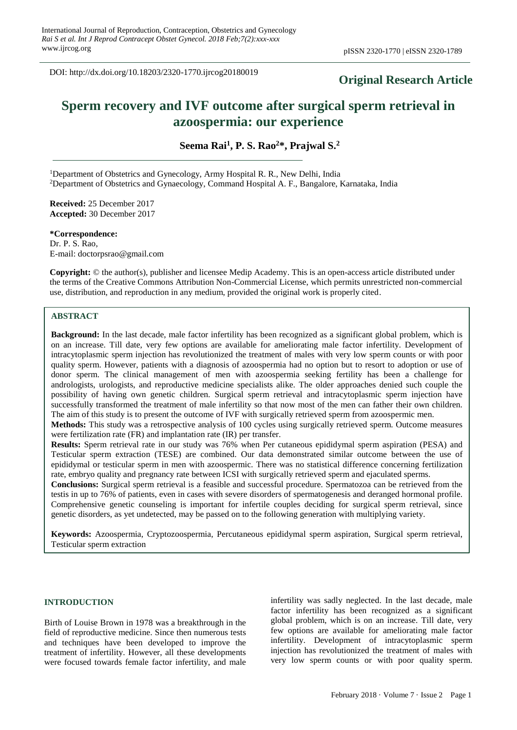DOI: http://dx.doi.org/10.18203/2320-1770.ijrcog20180019

# **Original Research Article**

# **Sperm recovery and IVF outcome after surgical sperm retrieval in azoospermia: our experience**

**Seema Rai<sup>1</sup> , P. S. Rao<sup>2</sup>\*, Prajwal S. 2**

<sup>1</sup>Department of Obstetrics and Gynecology, Army Hospital R. R., New Delhi, India <sup>2</sup>Department of Obstetrics and Gynaecology, Command Hospital A. F., Bangalore, Karnataka, India

**Received:** 25 December 2017 **Accepted:** 30 December 2017

**\*Correspondence:** Dr. P. S. Rao, E-mail: doctorpsrao@gmail.com

**Copyright:** © the author(s), publisher and licensee Medip Academy. This is an open-access article distributed under the terms of the Creative Commons Attribution Non-Commercial License, which permits unrestricted non-commercial use, distribution, and reproduction in any medium, provided the original work is properly cited.

#### **ABSTRACT**

**Background:** In the last decade, male factor infertility has been recognized as a significant global problem, which is on an increase. Till date, very few options are available for ameliorating male factor infertility. Development of intracytoplasmic sperm injection has revolutionized the treatment of males with very low sperm counts or with poor quality sperm. However, patients with a diagnosis of azoospermia had no option but to resort to adoption or use of donor sperm. The clinical management of men with azoospermia seeking fertility has been a challenge for andrologists, urologists, and reproductive medicine specialists alike. The older approaches denied such couple the possibility of having own genetic children. Surgical sperm retrieval and intracytoplasmic sperm injection have successfully transformed the treatment of male infertility so that now most of the men can father their own children. The aim of this study is to present the outcome of IVF with surgically retrieved sperm from azoospermic men.

**Methods:** This study was a retrospective analysis of 100 cycles using surgically retrieved sperm. Outcome measures were fertilization rate (FR) and implantation rate (IR) per transfer.

**Results:** Sperm retrieval rate in our study was 76% when Per cutaneous epididymal sperm aspiration (PESA) and Testicular sperm extraction (TESE) are combined. Our data demonstrated similar outcome between the use of epididymal or testicular sperm in men with azoospermic. There was no statistical difference concerning fertilization rate, embryo quality and pregnancy rate between ICSI with surgically retrieved sperm and ejaculated sperms.

**Conclusions:** Surgical sperm retrieval is a feasible and successful procedure. Spermatozoa can be retrieved from the testis in up to 76% of patients, even in cases with severe disorders of spermatogenesis and deranged hormonal profile. Comprehensive genetic counseling is important for infertile couples deciding for surgical sperm retrieval, since genetic disorders, as yet undetected, may be passed on to the following generation with multiplying variety.

**Keywords:** Azoospermia, Cryptozoospermia, Percutaneous epididymal sperm aspiration, Surgical sperm retrieval, Testicular sperm extraction

# **INTRODUCTION**

Birth of Louise Brown in 1978 was a breakthrough in the field of reproductive medicine. Since then numerous tests and techniques have been developed to improve the treatment of infertility. However, all these developments were focused towards female factor infertility, and male infertility was sadly neglected. In the last decade, male factor infertility has been recognized as a significant global problem, which is on an increase. Till date, very few options are available for ameliorating male factor infertility. Development of intracytoplasmic sperm injection has revolutionized the treatment of males with very low sperm counts or with poor quality sperm.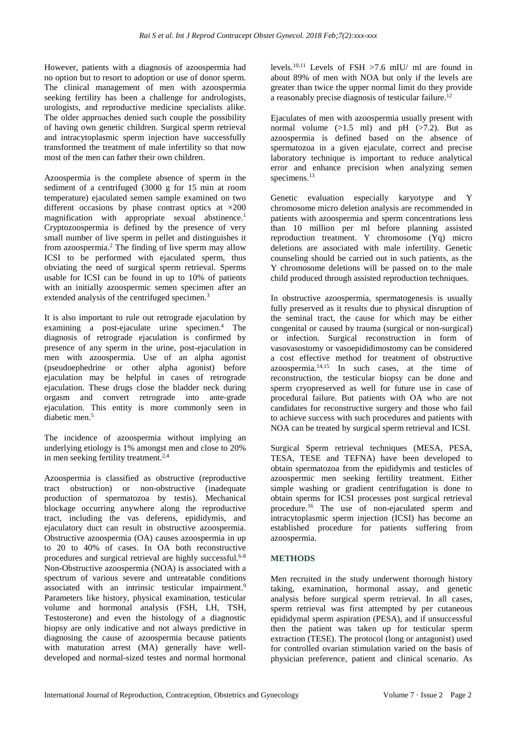However, patients with a diagnosis of azoospermia had no option but to resort to adoption or use of donor sperm. The clinical management of men with azoospermia seeking fertility has been a challenge for andrologists, urologists, and reproductive medicine specialists alike. The older approaches denied such couple the possibility of having own genetic children. Surgical sperm retrieval and intracytoplasmic sperm injection have successfully transformed the treatment of male infertility so that now most of the men can father their own children.

Azoospermia is the complete absence of sperm in the sediment of a centrifuged (3000 g for 15 min at room temperature) ejaculated semen sample examined on two different occasions by phase contrast optics at  $\times 200$ magnification with appropriate sexual abstinence.<sup>1</sup> Cryptozoospermia is defined by the presence of very small number of live sperm in pellet and distinguishes it from azoospermia. <sup>2</sup> The finding of live sperm may allow ICSI to be performed with ejaculated sperm, thus obviating the need of surgical sperm retrieval. Sperms usable for ICSI can be found in up to 10% of patients with an initially azoospermic semen specimen after an extended analysis of the centrifuged specimen.<sup>3</sup>

It is also important to rule out retrograde ejaculation by examining a post-ejaculate urine specimen.<sup>4</sup> The diagnosis of retrograde ejaculation is confirmed by presence of any sperm in the urine, post-ejaculation in men with azoospermia. Use of an alpha agonist (pseudoephedrine or other alpha agonist) before ejaculation may be helpful in cases of retrograde ejaculation. These drugs close the bladder neck during orgasm and convert retrograde into ante-grade ejaculation. This entity is more commonly seen in diabetic men.<sup>5</sup>

The incidence of azoospermia without implying an underlying etiology is 1% amongst men and close to 20% in men seeking fertility treatment.<sup>2,4</sup>

Azoospermia is classified as obstructive (reproductive tract obstruction) or non-obstructive (inadequate production of spermatozoa by testis). Mechanical blockage occurring anywhere along the reproductive tract, including the vas deferens, epididymis, and ejaculatory duct can result in obstructive azoospermia. Obstructive azoospermia (OA) causes azoospermia in up to 20 to 40% of cases. In OA both reconstructive procedures and surgical retrieval are highly successful. 6-8 Non-Obstructive azoospermia (NOA) is associated with a spectrum of various severe and untreatable conditions associated with an intrinsic testicular impairment.<sup>9</sup> Parameters like history, physical examination, testicular volume and hormonal analysis (FSH, LH, TSH, Testosterone) and even the histology of a diagnostic biopsy are only indicative and not always predictive in diagnosing the cause of azoospermia because patients with maturation arrest (MA) generally have welldeveloped and normal-sized testes and normal hormonal levels.<sup>10,11</sup> Levels of FSH  $>7.6$  mIU/ ml are found in about 89% of men with NOA but only if the levels are greater than twice the upper normal limit do they provide a reasonably precise diagnosis of testicular failure.<sup>12</sup>

Ejaculates of men with azoospermia usually present with normal volume  $(>1.5$  ml) and pH  $(>7.2)$ . But as azoospermia is defined based on the absence of spermatozoa in a given ejaculate, correct and precise laboratory technique is important to reduce analytical error and enhance precision when analyzing semen specimens.<sup>13</sup>

Genetic evaluation especially karyotype and Y chromosome micro deletion analysis are recommended in patients with azoospermia and sperm concentrations less than 10 million per ml before planning assisted reproduction treatment. Y chromosome (Yq) micro deletions are associated with male infertility. Genetic counseling should be carried out in such patients, as the Y chromosome deletions will be passed on to the male child produced through assisted reproduction techniques.

In obstructive azoospermia, spermatogenesis is usually fully preserved as it results due to physical disruption of the seminal tract, the cause for which may be either congenital or caused by trauma (surgical or non-surgical) or infection. Surgical reconstruction in form of vasovasostomy or vasoepididimostomy can be considered a cost effective method for treatment of obstructive azoospermia.14,15 In such cases, at the time of reconstruction, the testicular biopsy can be done and sperm cryopreserved as well for future use in case of procedural failure. But patients with OA who are not candidates for reconstructive surgery and those who fail to achieve success with such procedures and patients with NOA can be treated by surgical sperm retrieval and ICSI.

Surgical Sperm retrieval techniques (MESA, PESA, TESA, TESE and TEFNA) have been developed to obtain spermatozoa from the epididymis and testicles of azoospermic men seeking fertility treatment. Either simple washing or gradient centrifugation is done to obtain sperms for ICSI processes post surgical retrieval procedure.<sup>16</sup> The use of non-ejaculated sperm and intracytoplasmic sperm injection (ICSI) has become an established procedure for patients suffering from azoospermia.

# **METHODS**

Men recruited in the study underwent thorough history taking, examination, hormonal assay, and genetic analysis before surgical sperm retrieval. In all cases, sperm retrieval was first attempted by per cutaneous epididymal sperm aspiration (PESA), and if unsuccessful then the patient was taken up for testicular sperm extraction (TESE). The protocol (long or antagonist) used for controlled ovarian stimulation varied on the basis of physician preference, patient and clinical scenario. As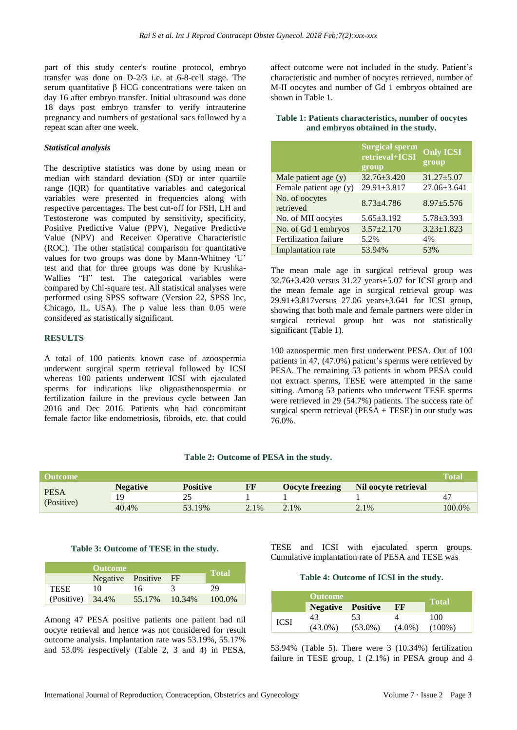part of this study center's routine protocol, embryo transfer was done on D-2/3 i.e. at 6-8-cell stage. The serum quantitative β HCG concentrations were taken on day 16 after embryo transfer. Initial ultrasound was done 18 days post embryo transfer to verify intrauterine pregnancy and numbers of gestational sacs followed by a repeat scan after one week.

# *Statistical analysis*

The descriptive statistics was done by using mean or median with standard deviation (SD) or inter quartile range (IQR) for quantitative variables and categorical variables were presented in frequencies along with respective percentages. The best cut-off for FSH, LH and Testosterone was computed by sensitivity, specificity, Positive Predictive Value (PPV), Negative Predictive Value (NPV) and Receiver Operative Characteristic (ROC). The other statistical comparison for quantitative values for two groups was done by Mann-Whitney 'U' test and that for three groups was done by Krushka-Wallies "H" test. The categorical variables were compared by Chi-square test. All statistical analyses were performed using SPSS software (Version 22, SPSS Inc, Chicago, IL, USA). The p value less than 0.05 were considered as statistically significant.

#### **RESULTS**

A total of 100 patients known case of azoospermia underwent surgical sperm retrieval followed by ICSI whereas 100 patients underwent ICSI with ejaculated sperms for indications like oligoasthenospermia or fertilization failure in the previous cycle between Jan 2016 and Dec 2016. Patients who had concomitant female factor like endometriosis, fibroids, etc. that could affect outcome were not included in the study. Patient's characteristic and number of oocytes retrieved, number of M-II oocytes and number of Gd 1 embryos obtained are shown in Table 1.

|                              | <b>Surgical sperm</b><br>retrieval+ICSI<br>group | <b>Only ICSI</b><br>group |
|------------------------------|--------------------------------------------------|---------------------------|
| Male patient age $(y)$       | $32.76 \pm 3.420$                                | $31.27 \pm 5.07$          |
| Female patient age $(y)$     | $29.91 \pm 3.817$                                | $27.06 \pm 3.641$         |
| No. of oocytes<br>retrieved  | $8.73 + 4.786$                                   | $8.97 + 5.576$            |
| No. of MII oocytes           | $5.65 \pm 3.192$                                 | $5.78 \pm 3.393$          |
| No. of Gd 1 embryos          | $3.57 \pm 2.170$                                 | $3.23 \pm 1.823$          |
| <b>Fertilization failure</b> | 5.2%                                             | 4%                        |
| Implantation rate            | 53.94%                                           | 53%                       |

#### **Table 1: Patients characteristics, number of oocytes and embryos obtained in the study.**

The mean male age in surgical retrieval group was 32.76±3.420 versus 31.27 years±5.07 for ICSI group and the mean female age in surgical retrieval group was  $29.91\pm3.817$  versus  $27.06$  years $\pm3.641$  for ICSI group, showing that both male and female partners were older in surgical retrieval group but was not statistically significant (Table 1).

100 azoospermic men first underwent PESA. Out of 100 patients in 47, (47.0%) patient's sperms were retrieved by PESA. The remaining 53 patients in whom PESA could not extract sperms, TESE were attempted in the same sitting. Among 53 patients who underwent TESE sperms were retrieved in 29 (54.7%) patients. The success rate of surgical sperm retrieval (PESA + TESE) in our study was 76.0%.

#### **Table 2: Outcome of PESA in the study.**

| <b>Outcome</b>            |                 |                 |         |                 |                      | Total  |
|---------------------------|-----------------|-----------------|---------|-----------------|----------------------|--------|
| <b>PESA</b><br>(Positive) | <b>Negative</b> | <b>Positive</b> | FF      | Oocyte freezing | Nil oocyte retrieval |        |
|                           | 19              |                 |         |                 |                      |        |
|                           | 40.4%           | 53.19%          | $2.1\%$ | $2.1\%$         | $2.1\%$              | 100.0% |

#### **Table 3: Outcome of TESE in the study.**

| <b>Outcome</b> |       |                      |        | <b>Total</b> |  |
|----------------|-------|----------------------|--------|--------------|--|
|                |       | Negative Positive FF |        |              |  |
| <b>TESE</b>    | 10    | 16.                  | -3.    | 29           |  |
| (Positive)     | 34.4% | 55.17%               | 10.34% | 100.0%       |  |

Among 47 PESA positive patients one patient had nil oocyte retrieval and hence was not considered for result outcome analysis. Implantation rate was 53.19%, 55.17% and 53.0% respectively (Table 2, 3 and 4) in PESA, TESE and ICSI with ejaculated sperm groups. Cumulative implantation rate of PESA and TESE was

#### **Table 4: Outcome of ICSI in the study.**

|             | <b>Outcome</b>           |            |           |              |
|-------------|--------------------------|------------|-----------|--------------|
|             | <b>Negative Positive</b> |            | FF        | <b>Total</b> |
| <b>ICSI</b> | 43                       | 53.        |           | 100          |
|             | $(43.0\%)$               | $(53.0\%)$ | $(4.0\%)$ | $(100\%)$    |

53.94% (Table 5). There were 3 (10.34%) fertilization failure in TESE group, 1 (2.1%) in PESA group and 4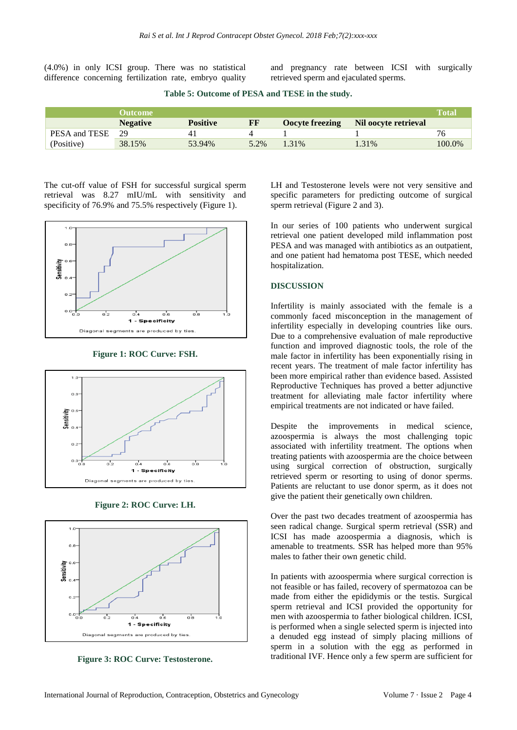(4.0%) in only ICSI group. There was no statistical difference concerning fertilization rate, embryo quality and pregnancy rate between ICSI with surgically retrieved sperm and ejaculated sperms.

**Table 5: Outcome of PESA and TESE in the study.**

|               | <b>Outcome</b>  |                 |      |                 |                      | <b>Total</b> |
|---------------|-----------------|-----------------|------|-----------------|----------------------|--------------|
|               | <b>Negative</b> | <b>Positive</b> | FF   | Oocyte freezing | Nil oocyte retrieval |              |
| PESA and TESE | 29              |                 |      |                 |                      | 76           |
| (Positive)    | 38.15%          | 53.94%          | 5.2% | 1.31%           | $1.31\%$             | 100.0%       |

The cut-off value of FSH for successful surgical sperm retrieval was 8.27 mIU/mL with sensitivity and specificity of 76.9% and 75.5% respectively (Figure 1).



**Figure 1: ROC Curve: FSH.**



**Figure 2: ROC Curve: LH.**



**Figure 3: ROC Curve: Testosterone.**

LH and Testosterone levels were not very sensitive and specific parameters for predicting outcome of surgical sperm retrieval (Figure 2 and 3).

In our series of 100 patients who underwent surgical retrieval one patient developed mild inflammation post PESA and was managed with antibiotics as an outpatient, and one patient had hematoma post TESE, which needed hospitalization.

#### **DISCUSSION**

Infertility is mainly associated with the female is a commonly faced misconception in the management of infertility especially in developing countries like ours. Due to a comprehensive evaluation of male reproductive function and improved diagnostic tools, the role of the male factor in infertility has been exponentially rising in recent years. The treatment of male factor infertility has been more empirical rather than evidence based. Assisted Reproductive Techniques has proved a better adjunctive treatment for alleviating male factor infertility where empirical treatments are not indicated or have failed.

Despite the improvements in medical science, azoospermia is always the most challenging topic associated with infertility treatment. The options when treating patients with azoospermia are the choice between using surgical correction of obstruction, surgically retrieved sperm or resorting to using of donor sperms. Patients are reluctant to use donor sperm, as it does not give the patient their genetically own children.

Over the past two decades treatment of azoospermia has seen radical change. Surgical sperm retrieval (SSR) and ICSI has made azoospermia a diagnosis, which is amenable to treatments. SSR has helped more than 95% males to father their own genetic child.

In patients with azoospermia where surgical correction is not feasible or has failed, recovery of spermatozoa can be made from either the epididymis or the testis. Surgical sperm retrieval and ICSI provided the opportunity for men with azoospermia to father biological children. ICSI, is performed when a single selected sperm is injected into a denuded egg instead of simply placing millions of sperm in a solution with the egg as performed in traditional IVF. Hence only a few sperm are sufficient for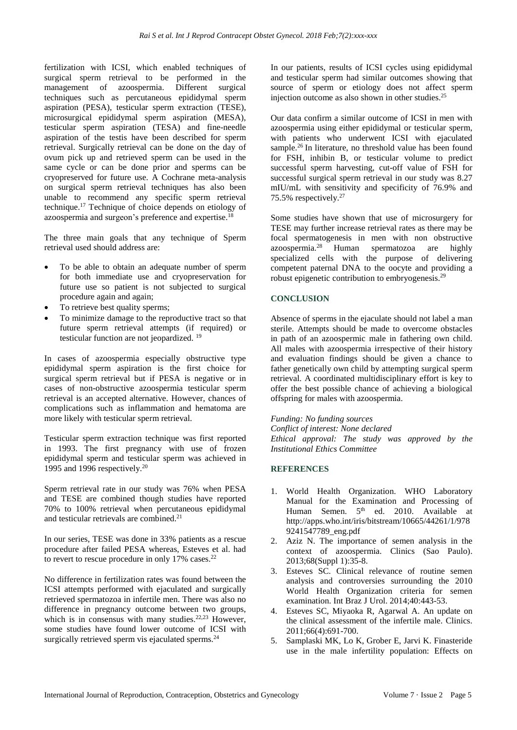fertilization with ICSI, which enabled techniques of surgical sperm retrieval to be performed in the management of azoospermia. Different surgical techniques such as percutaneous epididymal sperm aspiration (PESA), testicular sperm extraction (TESE), microsurgical epididymal sperm aspiration (MESA), testicular sperm aspiration (TESA) and fine-needle aspiration of the testis have been described for sperm retrieval. Surgically retrieval can be done on the day of ovum pick up and retrieved sperm can be used in the same cycle or can be done prior and sperms can be cryopreserved for future use. A Cochrane meta-analysis on surgical sperm retrieval techniques has also been unable to recommend any specific sperm retrieval technique.<sup>17</sup> Technique of choice depends on etiology of azoospermia and surgeon's preference and expertise.<sup>18</sup>

The three main goals that any technique of Sperm retrieval used should address are:

- To be able to obtain an adequate number of sperm for both immediate use and cryopreservation for future use so patient is not subjected to surgical procedure again and again;
- To retrieve best quality sperms;
- To minimize damage to the reproductive tract so that future sperm retrieval attempts (if required) or testicular function are not jeopardized. <sup>19</sup>

In cases of azoospermia especially obstructive type epididymal sperm aspiration is the first choice for surgical sperm retrieval but if PESA is negative or in cases of non-obstructive azoospermia testicular sperm retrieval is an accepted alternative. However, chances of complications such as inflammation and hematoma are more likely with testicular sperm retrieval.

Testicular sperm extraction technique was first reported in 1993. The first pregnancy with use of frozen epididymal sperm and testicular sperm was achieved in 1995 and 1996 respectively.<sup>20</sup>

Sperm retrieval rate in our study was 76% when PESA and TESE are combined though studies have reported 70% to 100% retrieval when percutaneous epididymal and testicular retrievals are combined.<sup>21</sup>

In our series, TESE was done in 33% patients as a rescue procedure after failed PESA whereas, Esteves et al. had to revert to rescue procedure in only  $17\%$  cases.<sup>22</sup>

No difference in fertilization rates was found between the ICSI attempts performed with ejaculated and surgically retrieved spermatozoa in infertile men. There was also no difference in pregnancy outcome between two groups, which is in consensus with many studies.<sup>22,23</sup> However, some studies have found lower outcome of ICSI with surgically retrieved sperm vis ejaculated sperms.<sup>24</sup>

In our patients, results of ICSI cycles using epididymal and testicular sperm had similar outcomes showing that source of sperm or etiology does not affect sperm injection outcome as also shown in other studies.<sup>25</sup>

Our data confirm a similar outcome of ICSI in men with azoospermia using either epididymal or testicular sperm, with patients who underwent ICSI with ejaculated sample.<sup>26</sup> In literature, no threshold value has been found for FSH, inhibin B, or testicular volume to predict successful sperm harvesting, cut-off value of FSH for successful surgical sperm retrieval in our study was 8.27 mIU/mL with sensitivity and specificity of 76.9% and 75.5% respectively.<sup>27</sup>

Some studies have shown that use of microsurgery for TESE may further increase retrieval rates as there may be focal spermatogenesis in men with non obstructive azoospermia.<sup>28</sup> Human spermatozoa are highly specialized cells with the purpose of delivering competent paternal DNA to the oocyte and providing a robust epigenetic contribution to embryogenesis.<sup>29</sup>

# **CONCLUSION**

Absence of sperms in the ejaculate should not label a man sterile. Attempts should be made to overcome obstacles in path of an azoospermic male in fathering own child. All males with azoospermia irrespective of their history and evaluation findings should be given a chance to father genetically own child by attempting surgical sperm retrieval. A coordinated multidisciplinary effort is key to offer the best possible chance of achieving a biological offspring for males with azoospermia.

*Funding: No funding sources*

*Conflict of interest: None declared Ethical approval: The study was approved by the Institutional Ethics Committee*

# **REFERENCES**

- 1. World Health Organization. WHO Laboratory Manual for the Examination and Processing of Human Semen. 5<sup>th</sup> ed. 2010. Available at http://apps.who.int/iris/bitstream/10665/44261/1/978 9241547789\_eng.pdf
- 2. Aziz N. The importance of semen analysis in the context of azoospermia. Clinics (Sao Paulo). 2013;68(Suppl 1):35-8.
- 3. Esteves SC. Clinical relevance of routine semen analysis and controversies surrounding the 2010 World Health Organization criteria for semen examination. Int Braz J Urol. 2014;40:443-53.
- 4. Esteves SC, Miyaoka R, Agarwal A. An update on the clinical assessment of the infertile male. Clinics. 2011;66(4):691-700.
- 5. Samplaski MK, Lo K, Grober E, Jarvi K. Finasteride use in the male infertility population: Effects on